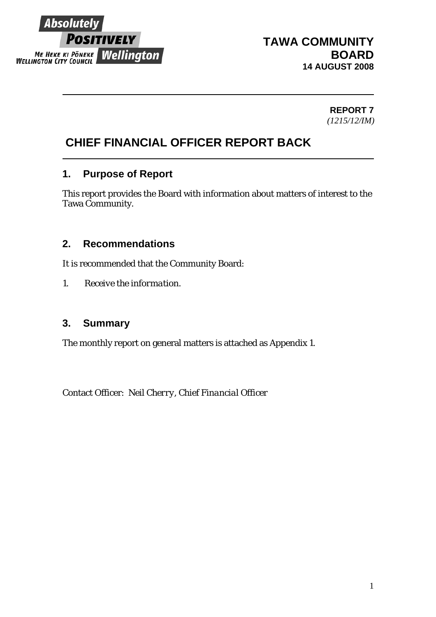

# **TAWA COMMUNITY BOARD 14 AUGUST 2008**

**REPORT 7**  *(1215/12/IM)*

# **CHIEF FINANCIAL OFFICER REPORT BACK**

### **1. Purpose of Report**

This report provides the Board with information about matters of interest to the Tawa Community.

### **2. Recommendations**

It is recommended that the Community Board:

*1. Receive the information.* 

### **3. Summary**

The monthly report on general matters is attached as Appendix 1.

Contact Officer: *Neil Cherry, Chief Financial Officer*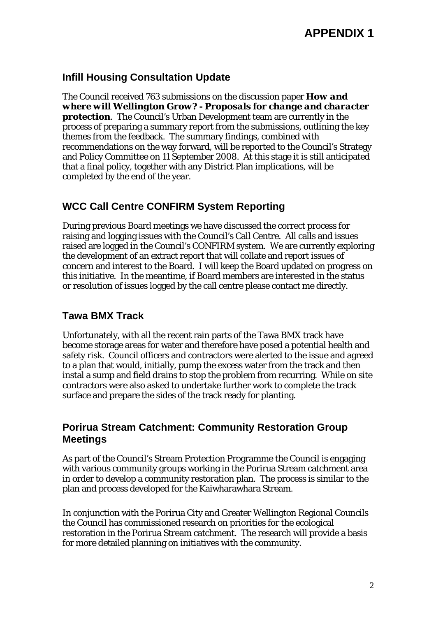### **Infill Housing Consultation Update**

The Council received 763 submissions on the discussion paper *How and where will Wellington Grow? - Proposals for change and character protection*. The Council's Urban Development team are currently in the process of preparing a summary report from the submissions, outlining the key themes from the feedback. The summary findings, combined with recommendations on the way forward, will be reported to the Council's Strategy and Policy Committee on 11 September 2008. At this stage it is still anticipated that a final policy, together with any District Plan implications, will be completed by the end of the year.

# **WCC Call Centre CONFIRM System Reporting**

During previous Board meetings we have discussed the correct process for raising and logging issues with the Council's Call Centre. All calls and issues raised are logged in the Council's CONFIRM system. We are currently exploring the development of an extract report that will collate and report issues of concern and interest to the Board. I will keep the Board updated on progress on this initiative. In the meantime, if Board members are interested in the status or resolution of issues logged by the call centre please contact me directly.

### **Tawa BMX Track**

Unfortunately, with all the recent rain parts of the Tawa BMX track have become storage areas for water and therefore have posed a potential health and safety risk. Council officers and contractors were alerted to the issue and agreed to a plan that would, initially, pump the excess water from the track and then instal a sump and field drains to stop the problem from recurring. While on site contractors were also asked to undertake further work to complete the track surface and prepare the sides of the track ready for planting.

# **Porirua Stream Catchment: Community Restoration Group Meetings**

As part of the Council's Stream Protection Programme the Council is engaging with various community groups working in the Porirua Stream catchment area in order to develop a community restoration plan. The process is similar to the plan and process developed for the Kaiwharawhara Stream.

In conjunction with the Porirua City and Greater Wellington Regional Councils the Council has commissioned research on priorities for the ecological restoration in the Porirua Stream catchment. The research will provide a basis for more detailed planning on initiatives with the community.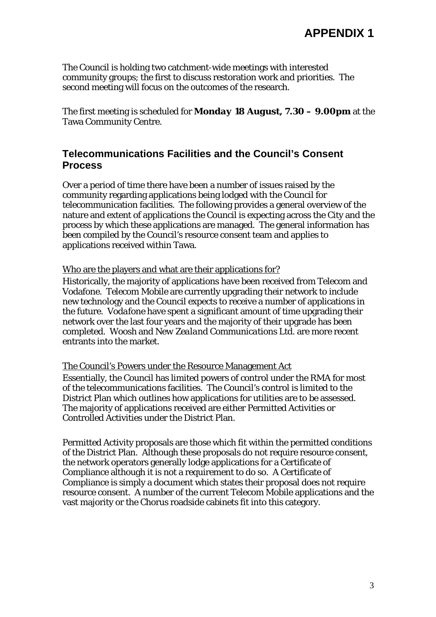The Council is holding two catchment-wide meetings with interested community groups; the first to discuss restoration work and priorities. The second meeting will focus on the outcomes of the research.

The first meeting is scheduled for *Monday 18 August, 7.30 – 9.00pm* at the Tawa Community Centre.

### **Telecommunications Facilities and the Council's Consent Process**

Over a period of time there have been a number of issues raised by the community regarding applications being lodged with the Council for telecommunication facilities. The following provides a general overview of the nature and extent of applications the Council is expecting across the City and the process by which these applications are managed. The general information has been compiled by the Council's resource consent team and applies to applications received within Tawa.

#### Who are the players and what are their applications for?

Historically, the majority of applications have been received from Telecom and Vodafone. *Telecom Mobile* are currently upgrading their network to include new technology and the Council expects to receive a number of applications in the future. *Vodafone* have spent a significant amount of time upgrading their network over the last four years and the majority of their upgrade has been completed. *Woosh* and *New Zealand Communications Ltd.* are more recent entrants into the market.

#### The Council's Powers under the Resource Management Act

Essentially, the Council has limited powers of control under the RMA for most of the telecommunications facilities. The Council's control is limited to the District Plan which outlines how applications for utilities are to be assessed. The majority of applications received are either Permitted Activities or Controlled Activities under the District Plan.

Permitted Activity proposals are those which fit within the permitted conditions of the District Plan. Although these proposals do not require resource consent, the network operators generally lodge applications for a Certificate of Compliance although it is not a requirement to do so. A Certificate of Compliance is simply a document which states their proposal does not require resource consent. A number of the current Telecom Mobile applications and the vast majority or the Chorus roadside cabinets fit into this category.